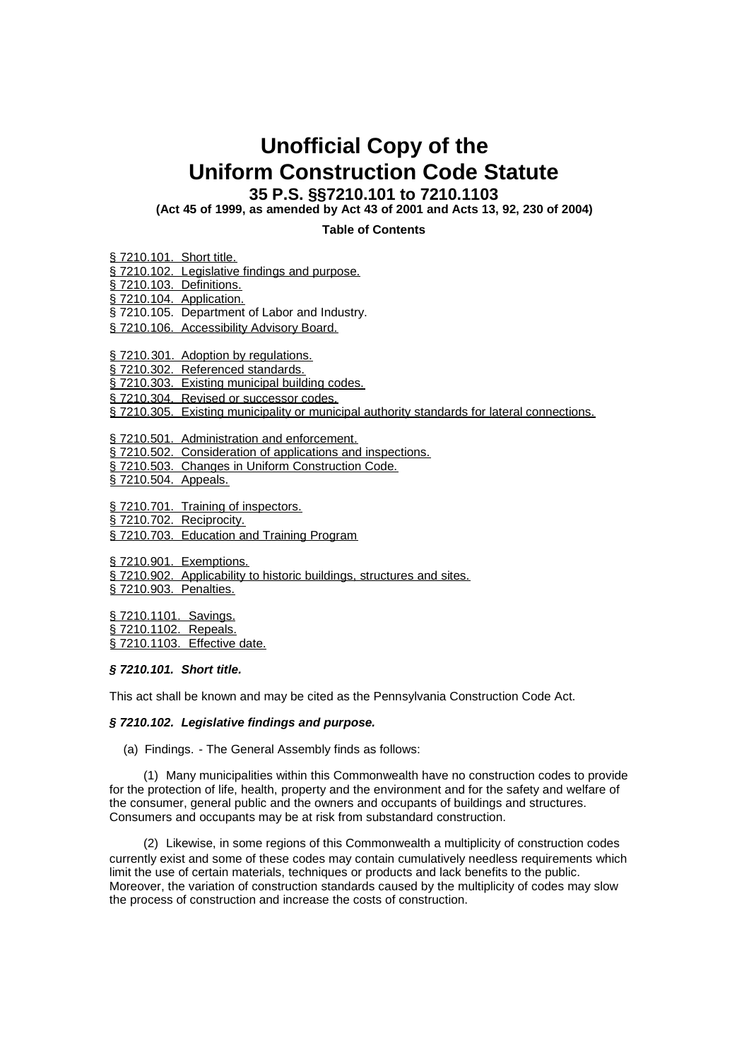# **Unofficial Copy of the Uniform Construction Code Statute 35 P.S. §§7210.101 to 7210.1103**

**(Act 45 of 1999, as amended by Act 43 of 2001 and Acts 13, 92, 230 of 2004)**

**Table of Contents**

§ 7210.101. Short title.

§ 7210.102. Legislative findings and purpose.

§ 7210.103. Definitions.

§ 7210.104. Application.

§ 7210.105. Department of Labor and Industry.

§ 7210.106. Accessibility Advisory Board.

§ 7210.301. Adoption by regulations.

§ 7210.302. Referenced standards.

§ 7210.303. Existing municipal building codes.

§ 7210.304. Revised or successor codes.

§ 7210.305. Existing municipality or municipal authority standards for lateral connections.

§ 7210.501. Administration and enforcement.

§ 7210.502. Consideration of applications and inspections.

§ 7210.503. Changes in Uniform Construction Code.

§ 7210.504. Appeals.

§ 7210.701. Training of inspectors.

§ 7210.702. Reciprocity.

§ 7210.703. Education and Training Program

§ 7210.901. Exemptions.

§ 7210.902. Applicability to historic buildings, structures and sites.

§ 7210.903. Penalties.

§ 7210.1101. Savings. § 7210.1102. Repeals. § 7210.1103. Effective date.

#### *§ 7210.101. Short title.*

This act shall be known and may be cited as the Pennsylvania Construction Code Act.

## *§ 7210.102. Legislative findings and purpose.*

(a) Findings. - The General Assembly finds as follows:

(1) Many municipalities within this Commonwealth have no construction codes to provide for the protection of life, health, property and the environment and for the safety and welfare of the consumer, general public and the owners and occupants of buildings and structures. Consumers and occupants may be at risk from substandard construction.

(2) Likewise, in some regions of this Commonwealth a multiplicity of construction codes currently exist and some of these codes may contain cumulatively needless requirements which limit the use of certain materials, techniques or products and lack benefits to the public. Moreover, the variation of construction standards caused by the multiplicity of codes may slow the process of construction and increase the costs of construction.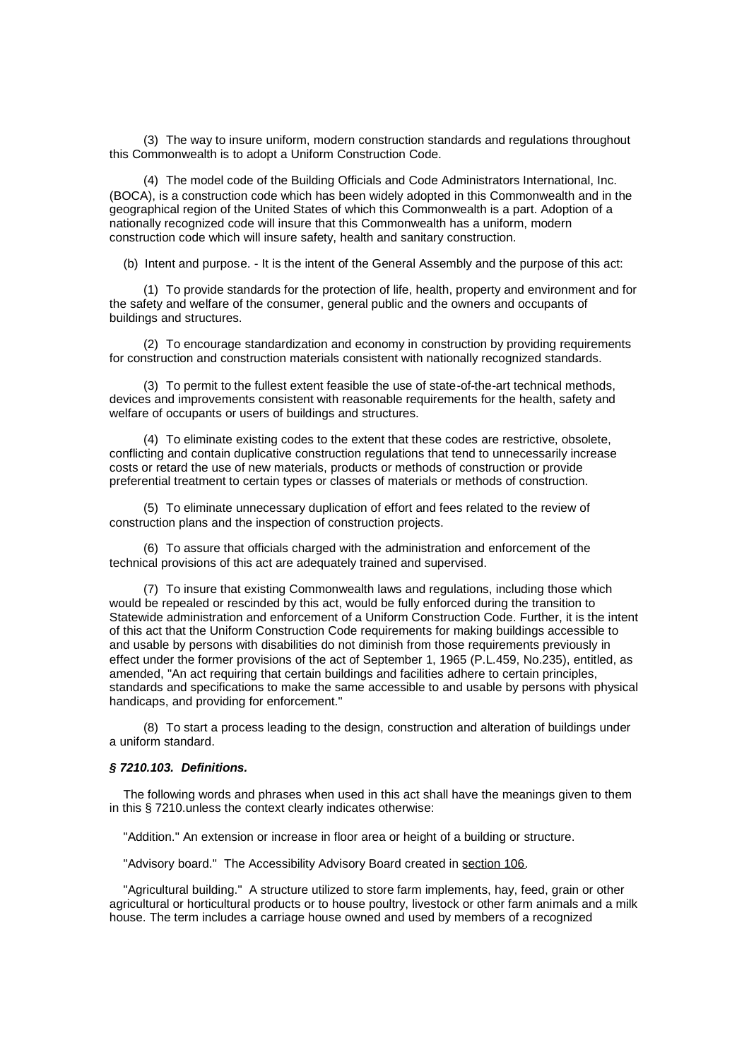(3) The way to insure uniform, modern construction standards and regulations throughout this Commonwealth is to adopt a Uniform Construction Code.

(4) The model code of the Building Officials and Code Administrators International, Inc. (BOCA), is a construction code which has been widely adopted in this Commonwealth and in the geographical region of the United States of which this Commonwealth is a part. Adoption of a nationally recognized code will insure that this Commonwealth has a uniform, modern construction code which will insure safety, health and sanitary construction.

(b) Intent and purpose. - It is the intent of the General Assembly and the purpose of this act:

(1) To provide standards for the protection of life, health, property and environment and for the safety and welfare of the consumer, general public and the owners and occupants of buildings and structures.

(2) To encourage standardization and economy in construction by providing requirements for construction and construction materials consistent with nationally recognized standards.

(3) To permit to the fullest extent feasible the use of state-of-the-art technical methods, devices and improvements consistent with reasonable requirements for the health, safety and welfare of occupants or users of buildings and structures.

(4) To eliminate existing codes to the extent that these codes are restrictive, obsolete, conflicting and contain duplicative construction regulations that tend to unnecessarily increase costs or retard the use of new materials, products or methods of construction or provide preferential treatment to certain types or classes of materials or methods of construction.

(5) To eliminate unnecessary duplication of effort and fees related to the review of construction plans and the inspection of construction projects.

(6) To assure that officials charged with the administration and enforcement of the technical provisions of this act are adequately trained and supervised.

(7) To insure that existing Commonwealth laws and regulations, including those which would be repealed or rescinded by this act, would be fully enforced during the transition to Statewide administration and enforcement of a Uniform Construction Code. Further, it is the intent of this act that the Uniform Construction Code requirements for making buildings accessible to and usable by persons with disabilities do not diminish from those requirements previously in effect under the former provisions of the act of September 1, 1965 (P.L.459, No.235), entitled, as amended, "An act requiring that certain buildings and facilities adhere to certain principles, standards and specifications to make the same accessible to and usable by persons with physical handicaps, and providing for enforcement."

(8) To start a process leading to the design, construction and alteration of buildings under a uniform standard.

## *§ 7210.103. Definitions.*

The following words and phrases when used in this act shall have the meanings given to them in this § 7210.unless the context clearly indicates otherwise:

"Addition." An extension or increase in floor area or height of a building or structure.

"Advisory board." The Accessibility Advisory Board created in section 106.

"Agricultural building." A structure utilized to store farm implements, hay, feed, grain or other agricultural or horticultural products or to house poultry, livestock or other farm animals and a milk house. The term includes a carriage house owned and used by members of a recognized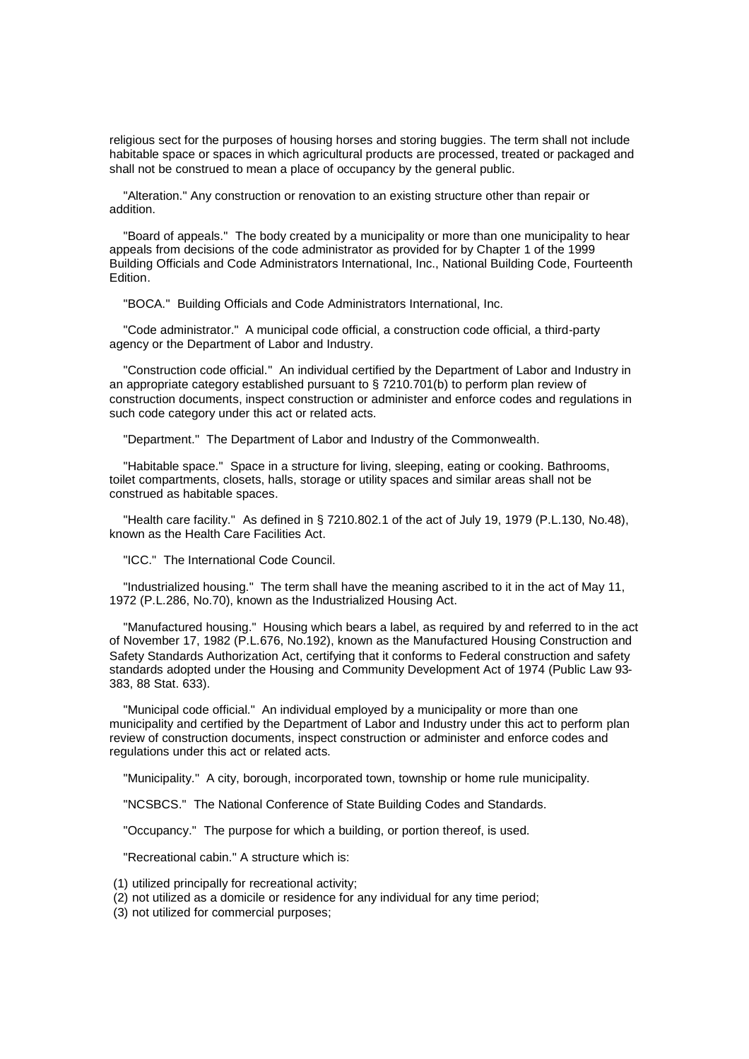religious sect for the purposes of housing horses and storing buggies. The term shall not include habitable space or spaces in which agricultural products are processed, treated or packaged and shall not be construed to mean a place of occupancy by the general public.

"Alteration." Any construction or renovation to an existing structure other than repair or addition.

"Board of appeals." The body created by a municipality or more than one municipality to hear appeals from decisions of the code administrator as provided for by Chapter 1 of the 1999 Building Officials and Code Administrators International, Inc., National Building Code, Fourteenth Edition.

"BOCA." Building Officials and Code Administrators International, Inc.

"Code administrator." A municipal code official, a construction code official, a third-party agency or the Department of Labor and Industry.

"Construction code official." An individual certified by the Department of Labor and Industry in an appropriate category established pursuant to  $\S$  7210.701(b) to perform plan review of construction documents, inspect construction or administer and enforce codes and regulations in such code category under this act or related acts.

"Department." The Department of Labor and Industry of the Commonwealth.

"Habitable space." Space in a structure for living, sleeping, eating or cooking. Bathrooms, toilet compartments, closets, halls, storage or utility spaces and similar areas shall not be construed as habitable spaces.

"Health care facility." As defined in § 7210.802.1 of the act of July 19, 1979 (P.L.130, No.48), known as the Health Care Facilities Act.

"ICC." The International Code Council.

"Industrialized housing." The term shall have the meaning ascribed to it in the act of May 11, 1972 (P.L.286, No.70), known as the Industrialized Housing Act.

"Manufactured housing." Housing which bears a label, as required by and referred to in the act of November 17, 1982 (P.L.676, No.192), known as the Manufactured Housing Construction and Safety Standards Authorization Act, certifying that it conforms to Federal construction and safety standards adopted under the Housing and Community Development Act of 1974 (Public Law 93- 383, 88 Stat. 633).

"Municipal code official." An individual employed by a municipality or more than one municipality and certified by the Department of Labor and Industry under this act to perform plan review of construction documents, inspect construction or administer and enforce codes and regulations under this act or related acts.

"Municipality." A city, borough, incorporated town, township or home rule municipality.

"NCSBCS." The National Conference of State Building Codes and Standards.

"Occupancy." The purpose for which a building, or portion thereof, is used.

"Recreational cabin." A structure which is:

(1) utilized principally for recreational activity;

(2) not utilized as a domicile or residence for any individual for any time period;

(3) not utilized for commercial purposes;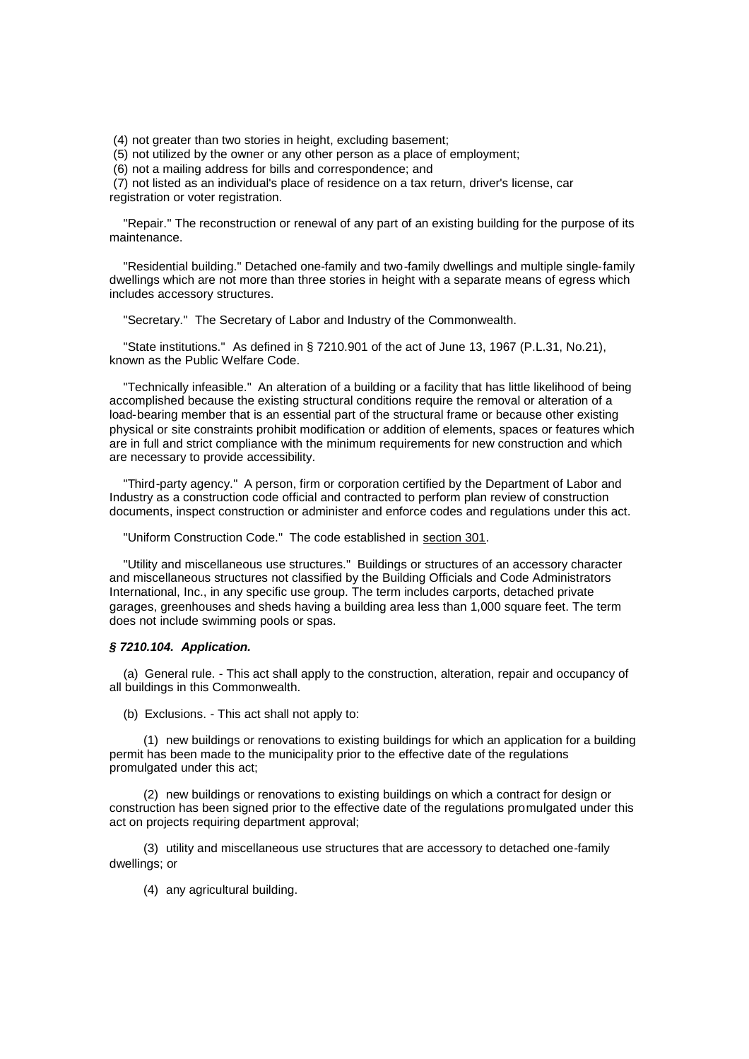(4) not greater than two stories in height, excluding basement;

(5) not utilized by the owner or any other person as a place of employment;

(6) not a mailing address for bills and correspondence; and

(7) not listed as an individual's place of residence on a tax return, driver's license, car registration or voter registration.

"Repair." The reconstruction or renewal of any part of an existing building for the purpose of its maintenance.

"Residential building." Detached one-family and two-family dwellings and multiple single-family dwellings which are not more than three stories in height with a separate means of egress which includes accessory structures.

"Secretary." The Secretary of Labor and Industry of the Commonwealth.

"State institutions." As defined in § 7210.901 of the act of June 13, 1967 (P.L.31, No.21), known as the Public Welfare Code.

"Technically infeasible." An alteration of a building or a facility that has little likelihood of being accomplished because the existing structural conditions require the removal or alteration of a load-bearing member that is an essential part of the structural frame or because other existing physical or site constraints prohibit modification or addition of elements, spaces or features which are in full and strict compliance with the minimum requirements for new construction and which are necessary to provide accessibility.

"Third-party agency." A person, firm or corporation certified by the Department of Labor and Industry as a construction code official and contracted to perform plan review of construction documents, inspect construction or administer and enforce codes and regulations under this act.

"Uniform Construction Code." The code established in section 301.

"Utility and miscellaneous use structures." Buildings or structures of an accessory character and miscellaneous structures not classified by the Building Officials and Code Administrators International, Inc., in any specific use group. The term includes carports, detached private garages, greenhouses and sheds having a building area less than 1,000 square feet. The term does not include swimming pools or spas.

## *§ 7210.104. Application.*

(a) General rule. - This act shall apply to the construction, alteration, repair and occupancy of all buildings in this Commonwealth.

(b) Exclusions. - This act shall not apply to:

(1) new buildings or renovations to existing buildings for which an application for a building permit has been made to the municipality prior to the effective date of the regulations promulgated under this act;

(2) new buildings or renovations to existing buildings on which a contract for design or construction has been signed prior to the effective date of the regulations promulgated under this act on projects requiring department approval;

(3) utility and miscellaneous use structures that are accessory to detached one-family dwellings; or

(4) any agricultural building.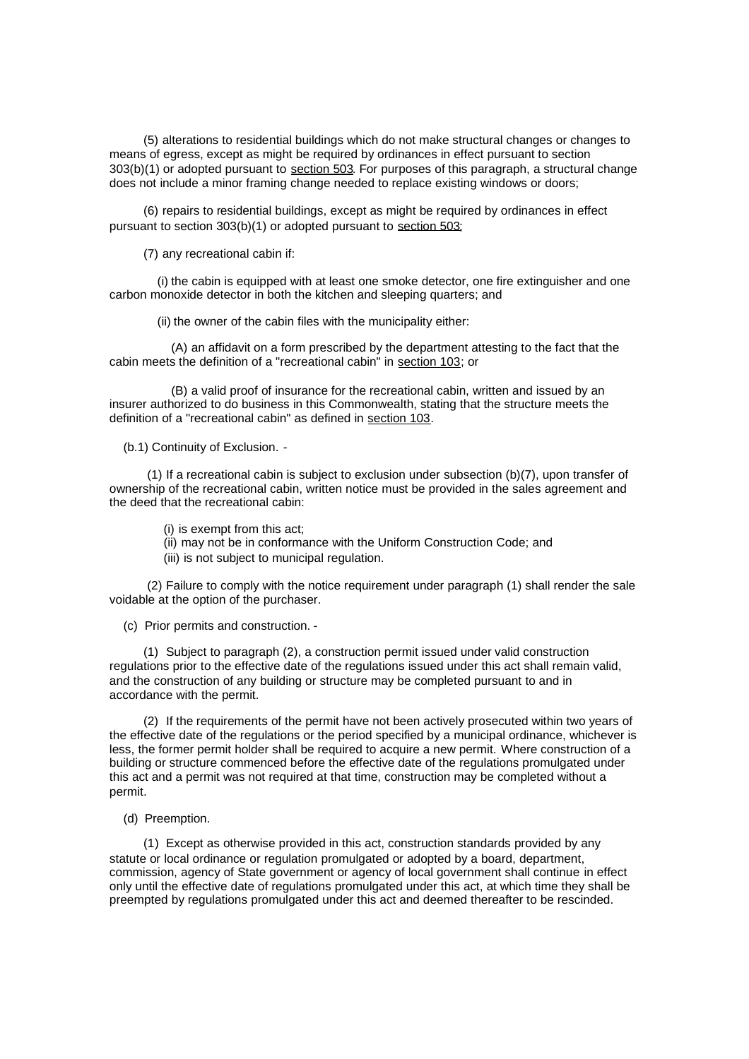(5) alterations to residential buildings which do not make structural changes or changes to means of egress, except as might be required by ordinances in effect pursuant to section 303(b)(1) or adopted pursuant to section 503. For purposes of this paragraph, a structural change does not include a minor framing change needed to replace existing windows or doors;

(6) repairs to residential buildings, except as might be required by ordinances in effect pursuant to section 303(b)(1) or adopted pursuant to section 503;

(7) any recreational cabin if:

(i) the cabin is equipped with at least one smoke detector, one fire extinguisher and one carbon monoxide detector in both the kitchen and sleeping quarters; and

(ii) the owner of the cabin files with the municipality either:

(A) an affidavit on a form prescribed by the department attesting to the fact that the cabin meets the definition of a "recreational cabin" in section 103; or

(B) a valid proof of insurance for the recreational cabin, written and issued by an insurer authorized to do business in this Commonwealth, stating that the structure meets the definition of a "recreational cabin" as defined in section 103.

(b.1) Continuity of Exclusion. -

(1) If a recreational cabin is subject to exclusion under subsection  $(b)(7)$ , upon transfer of ownership of the recreational cabin, written notice must be provided in the sales agreement and the deed that the recreational cabin:

- (i) is exempt from this act;
- (ii) may not be in conformance with the Uniform Construction Code; and
- (iii) is not subject to municipal regulation.

(2) Failure to comply with the notice requirement under paragraph (1) shall render the sale voidable at the option of the purchaser.

(c) Prior permits and construction. -

(1) Subject to paragraph (2), a construction permit issued under valid construction regulations prior to the effective date of the regulations issued under this act shall remain valid, and the construction of any building or structure may be completed pursuant to and in accordance with the permit.

(2) If the requirements of the permit have not been actively prosecuted within two years of the effective date of the regulations or the period specified by a municipal ordinance, whichever is less, the former permit holder shall be required to acquire a new permit. Where construction of a building or structure commenced before the effective date of the regulations promulgated under this act and a permit was not required at that time, construction may be completed without a permit.

(d) Preemption.

(1) Except as otherwise provided in this act, construction standards provided by any statute or local ordinance or regulation promulgated or adopted by a board, department, commission, agency of State government or agency of local government shall continue in effect only until the effective date of regulations promulgated under this act, at which time they shall be preempted by regulations promulgated under this act and deemed thereafter to be rescinded.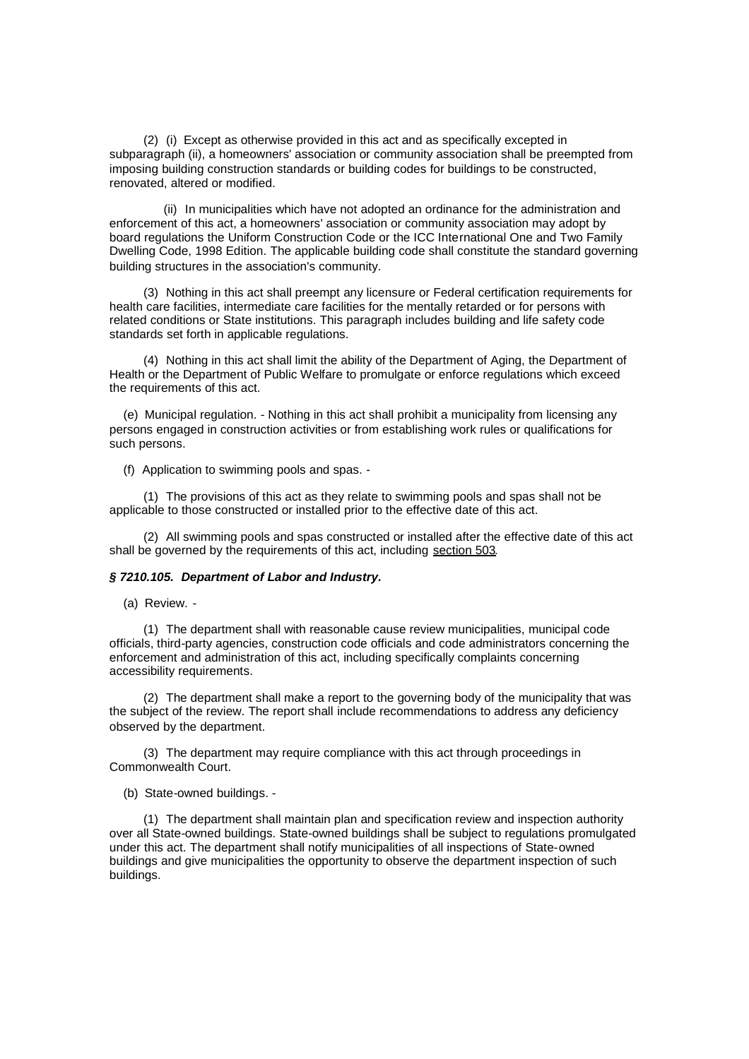(2) (i) Except as otherwise provided in this act and as specifically excepted in subparagraph (ii), a homeowners' association or community association shall be preempted from imposing building construction standards or building codes for buildings to be constructed, renovated, altered or modified.

(ii) In municipalities which have not adopted an ordinance for the administration and enforcement of this act, a homeowners' association or community association may adopt by board regulations the Uniform Construction Code or the ICC International One and Two Family Dwelling Code, 1998 Edition. The applicable building code shall constitute the standard governing building structures in the association's community.

(3) Nothing in this act shall preempt any licensure or Federal certification requirements for health care facilities, intermediate care facilities for the mentally retarded or for persons with related conditions or State institutions. This paragraph includes building and life safety code standards set forth in applicable regulations.

(4) Nothing in this act shall limit the ability of the Department of Aging, the Department of Health or the Department of Public Welfare to promulgate or enforce regulations which exceed the requirements of this act.

(e) Municipal regulation. - Nothing in this act shall prohibit a municipality from licensing any persons engaged in construction activities or from establishing work rules or qualifications for such persons.

(f) Application to swimming pools and spas. -

(1) The provisions of this act as they relate to swimming pools and spas shall not be applicable to those constructed or installed prior to the effective date of this act.

(2) All swimming pools and spas constructed or installed after the effective date of this act shall be governed by the requirements of this act, including section 503.

## *§ 7210.105. Department of Labor and Industry.*

(a) Review. -

(1) The department shall with reasonable cause review municipalities, municipal code officials, third-party agencies, construction code officials and code administrators concerning the enforcement and administration of this act, including specifically complaints concerning accessibility requirements.

(2) The department shall make a report to the governing body of the municipality that was the subject of the review. The report shall include recommendations to address any deficiency observed by the department.

(3) The department may require compliance with this act through proceedings in Commonwealth Court.

(b) State-owned buildings. -

(1) The department shall maintain plan and specification review and inspection authority over all State-owned buildings. State-owned buildings shall be subject to regulations promulgated under this act. The department shall notify municipalities of all inspections of State-owned buildings and give municipalities the opportunity to observe the department inspection of such buildings.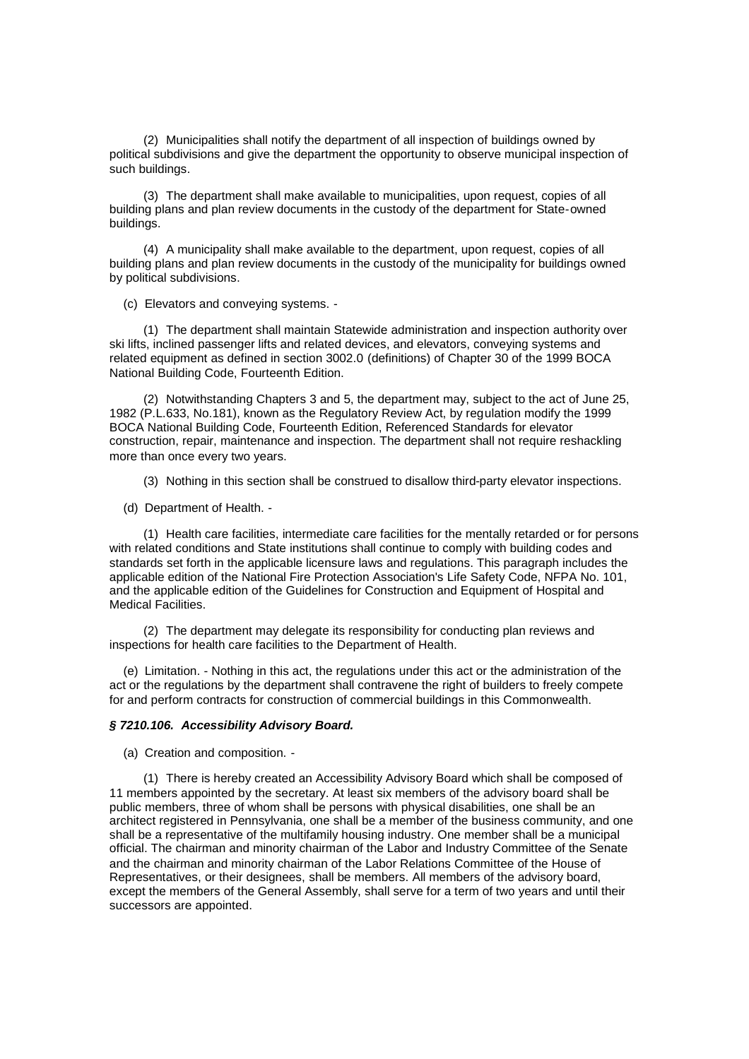(2) Municipalities shall notify the department of all inspection of buildings owned by political subdivisions and give the department the opportunity to observe municipal inspection of such buildings.

(3) The department shall make available to municipalities, upon request, copies of all building plans and plan review documents in the custody of the department for State-owned buildings.

(4) A municipality shall make available to the department, upon request, copies of all building plans and plan review documents in the custody of the municipality for buildings owned by political subdivisions.

(c) Elevators and conveying systems. -

(1) The department shall maintain Statewide administration and inspection authority over ski lifts, inclined passenger lifts and related devices, and elevators, conveying systems and related equipment as defined in section 3002.0 (definitions) of Chapter 30 of the 1999 BOCA National Building Code, Fourteenth Edition.

(2) Notwithstanding Chapters 3 and 5, the department may, subject to the act of June 25, 1982 (P.L.633, No.181), known as the Regulatory Review Act, by regulation modify the 1999 BOCA National Building Code, Fourteenth Edition, Referenced Standards for elevator construction, repair, maintenance and inspection. The department shall not require reshackling more than once every two years.

(3) Nothing in this section shall be construed to disallow third-party elevator inspections.

(d) Department of Health. -

(1) Health care facilities, intermediate care facilities for the mentally retarded or for persons with related conditions and State institutions shall continue to comply with building codes and standards set forth in the applicable licensure laws and regulations. This paragraph includes the applicable edition of the National Fire Protection Association's Life Safety Code, NFPA No. 101, and the applicable edition of the Guidelines for Construction and Equipment of Hospital and Medical Facilities.

(2) The department may delegate its responsibility for conducting plan reviews and inspections for health care facilities to the Department of Health.

(e) Limitation. - Nothing in this act, the regulations under this act or the administration of the act or the regulations by the department shall contravene the right of builders to freely compete for and perform contracts for construction of commercial buildings in this Commonwealth.

# *§ 7210.106. Accessibility Advisory Board.*

(a) Creation and composition. -

(1) There is hereby created an Accessibility Advisory Board which shall be composed of 11 members appointed by the secretary. At least six members of the advisory board shall be public members, three of whom shall be persons with physical disabilities, one shall be an architect registered in Pennsylvania, one shall be a member of the business community, and one shall be a representative of the multifamily housing industry. One member shall be a municipal official. The chairman and minority chairman of the Labor and Industry Committee of the Senate and the chairman and minority chairman of the Labor Relations Committee of the House of Representatives, or their designees, shall be members. All members of the advisory board, except the members of the General Assembly, shall serve for a term of two years and until their successors are appointed.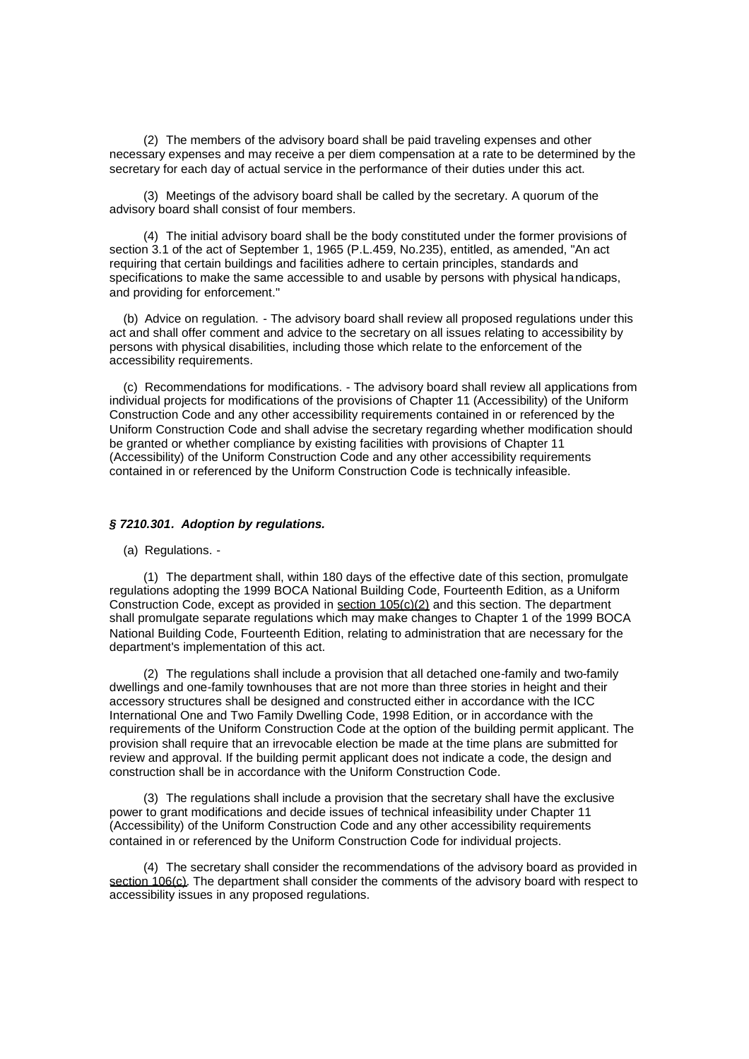(2) The members of the advisory board shall be paid traveling expenses and other necessary expenses and may receive a per diem compensation at a rate to be determined by the secretary for each day of actual service in the performance of their duties under this act.

(3) Meetings of the advisory board shall be called by the secretary. A quorum of the advisory board shall consist of four members.

(4) The initial advisory board shall be the body constituted under the former provisions of section 3.1 of the act of September 1, 1965 (P.L.459, No.235), entitled, as amended, "An act requiring that certain buildings and facilities adhere to certain principles, standards and specifications to make the same accessible to and usable by persons with physical handicaps, and providing for enforcement."

(b) Advice on regulation. - The advisory board shall review all proposed regulations under this act and shall offer comment and advice to the secretary on all issues relating to accessibility by persons with physical disabilities, including those which relate to the enforcement of the accessibility requirements.

(c) Recommendations for modifications. - The advisory board shall review all applications from individual projects for modifications of the provisions of Chapter 11 (Accessibility) of the Uniform Construction Code and any other accessibility requirements contained in or referenced by the Uniform Construction Code and shall advise the secretary regarding whether modification should be granted or whether compliance by existing facilities with provisions of Chapter 11 (Accessibility) of the Uniform Construction Code and any other accessibility requirements contained in or referenced by the Uniform Construction Code is technically infeasible.

## *§ 7210.301. Adoption by regulations.*

#### (a) Regulations. -

(1) The department shall, within 180 days of the effective date of this section, promulgate regulations adopting the 1999 BOCA National Building Code, Fourteenth Edition, as a Uniform Construction Code, except as provided in  $\frac{\text{section } 105(c)}{2}$  and this section. The department shall promulgate separate regulations which may make changes to Chapter 1 of the 1999 BOCA National Building Code, Fourteenth Edition, relating to administration that are necessary for the department's implementation of this act.

(2) The regulations shall include a provision that all detached one-family and two-family dwellings and one-family townhouses that are not more than three stories in height and their accessory structures shall be designed and constructed either in accordance with the ICC International One and Two Family Dwelling Code, 1998 Edition, or in accordance with the requirements of the Uniform Construction Code at the option of the building permit applicant. The provision shall require that an irrevocable election be made at the time plans are submitted for review and approval. If the building permit applicant does not indicate a code, the design and construction shall be in accordance with the Uniform Construction Code.

(3) The regulations shall include a provision that the secretary shall have the exclusive power to grant modifications and decide issues of technical infeasibility under Chapter 11 (Accessibility) of the Uniform Construction Code and any other accessibility requirements contained in or referenced by the Uniform Construction Code for individual projects.

(4) The secretary shall consider the recommendations of the advisory board as provided in section 106(c). The department shall consider the comments of the advisory board with respect to accessibility issues in any proposed regulations.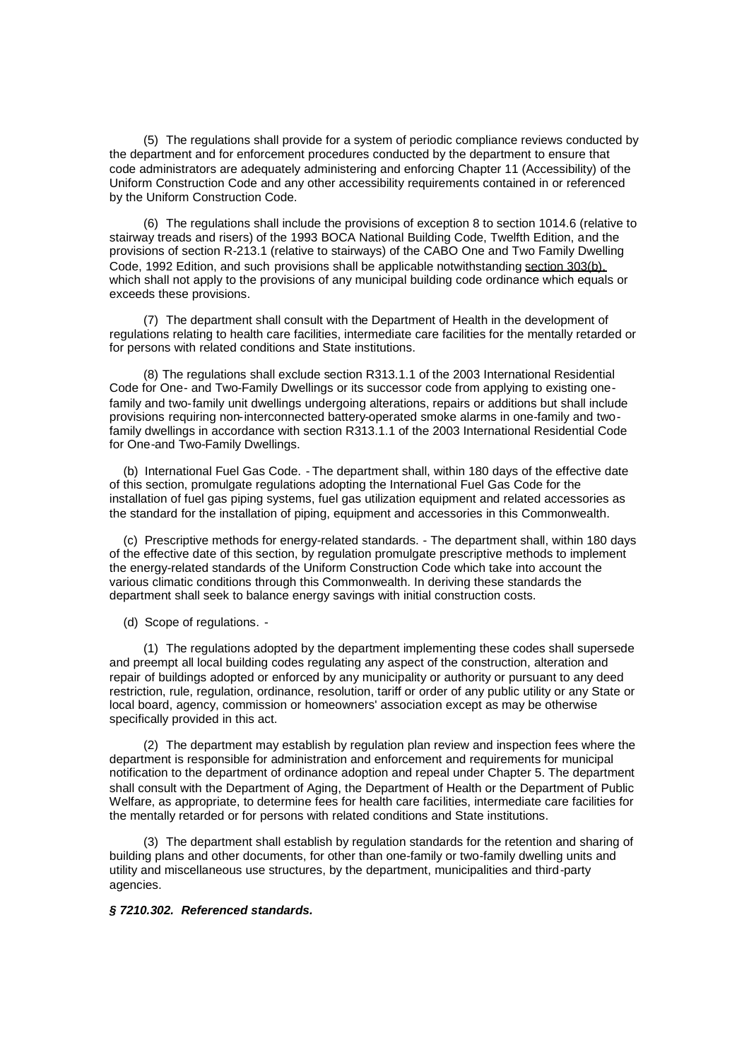(5) The regulations shall provide for a system of periodic compliance reviews conducted by the department and for enforcement procedures conducted by the department to ensure that code administrators are adequately administering and enforcing Chapter 11 (Accessibility) of the Uniform Construction Code and any other accessibility requirements contained in or referenced by the Uniform Construction Code.

(6) The regulations shall include the provisions of exception 8 to section 1014.6 (relative to stairway treads and risers) of the 1993 BOCA National Building Code, Twelfth Edition, and the provisions of section R-213.1 (relative to stairways) of the CABO One and Two Family Dwelling Code, 1992 Edition, and such provisions shall be applicable notwithstanding section 303(b), which shall not apply to the provisions of any municipal building code ordinance which equals or exceeds these provisions.

(7) The department shall consult with the Department of Health in the development of regulations relating to health care facilities, intermediate care facilities for the mentally retarded or for persons with related conditions and State institutions.

(8) The regulations shall exclude section R313.1.1 of the 2003 International Residential Code for One- and Two-Family Dwellings or its successor code from applying to existing onefamily and two-family unit dwellings undergoing alterations, repairs or additions but shall include provisions requiring non-interconnected battery-operated smoke alarms in one-family and twofamily dwellings in accordance with section R313.1.1 of the 2003 International Residential Code for One-and Two-Family Dwellings.

(b) International Fuel Gas Code. - The department shall, within 180 days of the effective date of this section, promulgate regulations adopting the International Fuel Gas Code for the installation of fuel gas piping systems, fuel gas utilization equipment and related accessories as the standard for the installation of piping, equipment and accessories in this Commonwealth.

(c) Prescriptive methods for energy-related standards. - The department shall, within 180 days of the effective date of this section, by regulation promulgate prescriptive methods to implement the energy-related standards of the Uniform Construction Code which take into account the various climatic conditions through this Commonwealth. In deriving these standards the department shall seek to balance energy savings with initial construction costs.

(d) Scope of regulations. -

(1) The regulations adopted by the department implementing these codes shall supersede and preempt all local building codes regulating any aspect of the construction, alteration and repair of buildings adopted or enforced by any municipality or authority or pursuant to any deed restriction, rule, regulation, ordinance, resolution, tariff or order of any public utility or any State or local board, agency, commission or homeowners' association except as may be otherwise specifically provided in this act.

(2) The department may establish by regulation plan review and inspection fees where the department is responsible for administration and enforcement and requirements for municipal notification to the department of ordinance adoption and repeal under Chapter 5. The department shall consult with the Department of Aging, the Department of Health or the Department of Public Welfare, as appropriate, to determine fees for health care facilities, intermediate care facilities for the mentally retarded or for persons with related conditions and State institutions.

(3) The department shall establish by regulation standards for the retention and sharing of building plans and other documents, for other than one-family or two-family dwelling units and utility and miscellaneous use structures, by the department, municipalities and third-party agencies.

#### *§ 7210.302. Referenced standards.*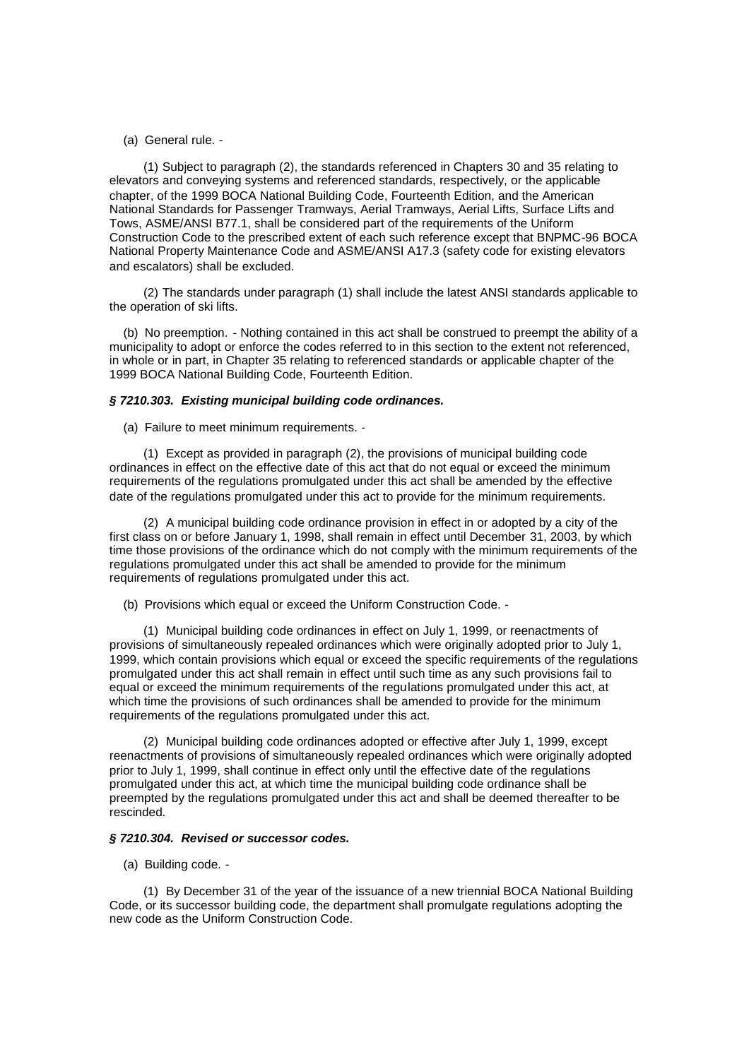#### (a) General rule. -

(1) Subject to paragraph (2), the standards referenced in Chapters 30 and 35 relating to elevators and conveying systems and referenced standards, respectively, or the applicable chapter, of the 1999 BOCA National Building Code, Fourteenth Edition, and the American National Standards for Passenger Tramways, Aerial Tramways, Aerial Lifts, Surface Lifts and Tows, ASME/ANSI B77.1, shall be considered part of the requirements of the Uniform Construction Code to the prescribed extent of each such reference except that BNPMC-96 BOCA National Property Maintenance Code and ASME/ANSI A17.3 (safety code for existing elevators and escalators) shall be excluded.

(2) The standards under paragraph (1) shall include the latest ANSI standards applicable to the operation of ski lifts.

(b) No preemption. - Nothing contained in this act shall be construed to preempt the ability of a municipality to adopt or enforce the codes referred to in this section to the extent not referenced, in whole or in part, in Chapter 35 relating to referenced standards or applicable chapter of the 1999 BOCA National Building Code, Fourteenth Edition.

## *§ 7210.303. Existing municipal building code ordinances.*

(a) Failure to meet minimum requirements. -

(1) Except as provided in paragraph (2), the provisions of municipal building code ordinances in effect on the effective date of this act that do not equal or exceed the minimum requirements of the regulations promulgated under this act shall be amended by the effective date of the regulations promulgated under this act to provide for the minimum requirements.

(2) A municipal building code ordinance provision in effect in or adopted by a city of the first class on or before January 1, 1998, shall remain in effect until December 31, 2003, by which time those provisions of the ordinance which do not comply with the minimum requirements of the regulations promulgated under this act shall be amended to provide for the minimum requirements of regulations promulgated under this act.

(b) Provisions which equal or exceed the Uniform Construction Code. -

(1) Municipal building code ordinances in effect on July 1, 1999, or reenactments of provisions of simultaneously repealed ordinances which were originally adopted prior to July 1, 1999, which contain provisions which equal or exceed the specific requirements of the regulations promulgated under this act shall remain in effect until such time as any such provisions fail to equal or exceed the minimum requirements of the regulations promulgated under this act, at which time the provisions of such ordinances shall be amended to provide for the minimum requirements of the regulations promulgated under this act.

(2) Municipal building code ordinances adopted or effective after July 1, 1999, except reenactments of provisions of simultaneously repealed ordinances which were originally adopted prior to July 1, 1999, shall continue in effect only until the effective date of the regulations promulgated under this act, at which time the municipal building code ordinance shall be preempted by the regulations promulgated under this act and shall be deemed thereafter to be rescinded.

## *§ 7210.304. Revised or successor codes.*

(a) Building code. -

(1) By December 31 of the year of the issuance of a new triennial BOCA National Building Code, or its successor building code, the department shall promulgate regulations adopting the new code as the Uniform Construction Code.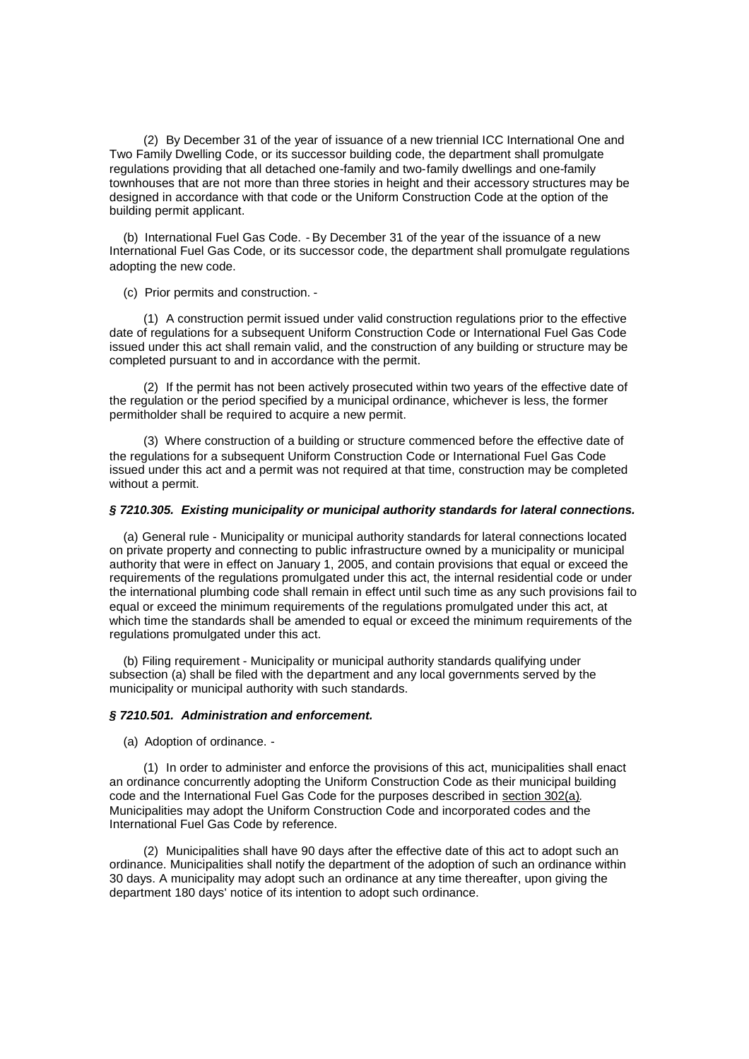(2) By December 31 of the year of issuance of a new triennial ICC International One and Two Family Dwelling Code, or its successor building code, the department shall promulgate regulations providing that all detached one-family and two-family dwellings and one-family townhouses that are not more than three stories in height and their accessory structures may be designed in accordance with that code or the Uniform Construction Code at the option of the building permit applicant.

(b) International Fuel Gas Code. - By December 31 of the year of the issuance of a new International Fuel Gas Code, or its successor code, the department shall promulgate regulations adopting the new code.

(c) Prior permits and construction. -

(1) A construction permit issued under valid construction regulations prior to the effective date of regulations for a subsequent Uniform Construction Code or International Fuel Gas Code issued under this act shall remain valid, and the construction of any building or structure may be completed pursuant to and in accordance with the permit.

(2) If the permit has not been actively prosecuted within two years of the effective date of the regulation or the period specified by a municipal ordinance, whichever is less, the former permitholder shall be required to acquire a new permit.

(3) Where construction of a building or structure commenced before the effective date of the regulations for a subsequent Uniform Construction Code or International Fuel Gas Code issued under this act and a permit was not required at that time, construction may be completed without a permit.

## *§ 7210.305. Existing municipality or municipal authority standards for lateral connections.*

(a) General rule - Municipality or municipal authority standards for lateral connections located on private property and connecting to public infrastructure owned by a municipality or municipal authority that were in effect on January 1, 2005, and contain provisions that equal or exceed the requirements of the regulations promulgated under this act, the internal residential code or under the international plumbing code shall remain in effect until such time as any such provisions fail to equal or exceed the minimum requirements of the regulations promulgated under this act, at which time the standards shall be amended to equal or exceed the minimum requirements of the regulations promulgated under this act.

(b) Filing requirement - Municipality or municipal authority standards qualifying under subsection (a) shall be filed with the department and any local governments served by the municipality or municipal authority with such standards.

#### *§ 7210.501. Administration and enforcement.*

(a) Adoption of ordinance. -

(1) In order to administer and enforce the provisions of this act, municipalities shall enact an ordinance concurrently adopting the Uniform Construction Code as their municipal building code and the International Fuel Gas Code for the purposes described in section 302(a). Municipalities may adopt the Uniform Construction Code and incorporated codes and the International Fuel Gas Code by reference.

(2) Municipalities shall have 90 days after the effective date of this act to adopt such an ordinance. Municipalities shall notify the department of the adoption of such an ordinance within 30 days. A municipality may adopt such an ordinance at any time thereafter, upon giving the department 180 days' notice of its intention to adopt such ordinance.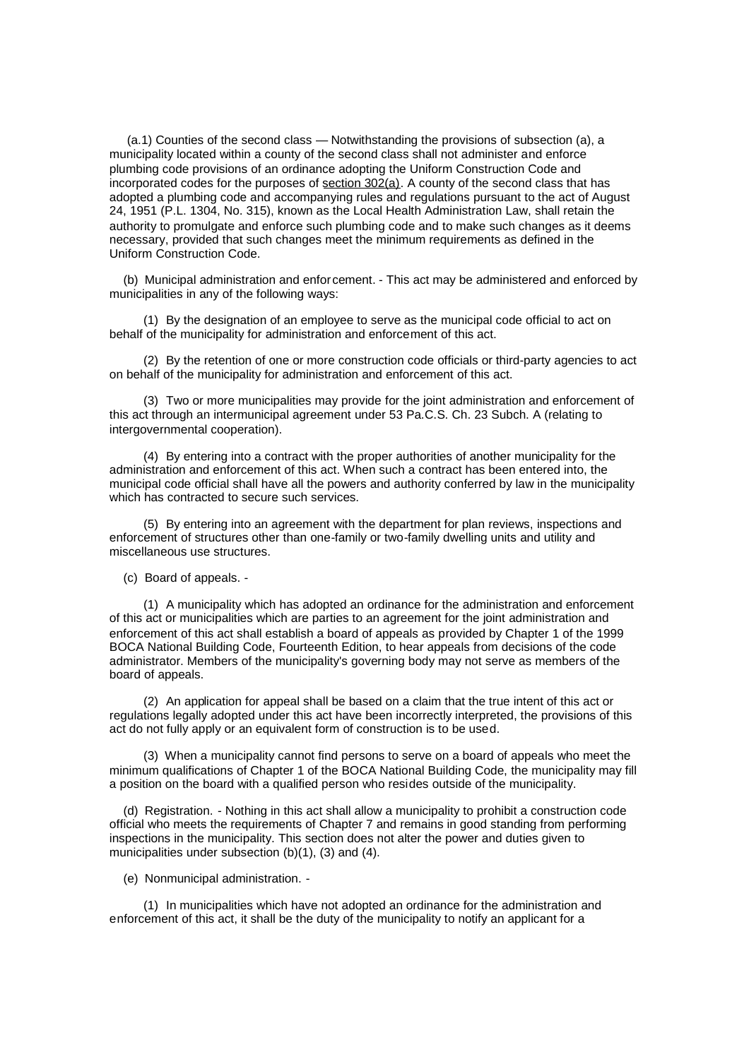(a.1) Counties of the second class — Notwithstanding the provisions of subsection (a), a municipality located within a county of the second class shall not administer and enforce plumbing code provisions of an ordinance adopting the Uniform Construction Code and incorporated codes for the purposes of section  $302(a)$ . A county of the second class that has adopted a plumbing code and accompanying rules and regulations pursuant to the act of August 24, 1951 (P.L. 1304, No. 315), known as the Local Health Administration Law, shall retain the authority to promulgate and enforce such plumbing code and to make such changes as it deems necessary, provided that such changes meet the minimum requirements as defined in the Uniform Construction Code.

(b) Municipal administration and enforcement. - This act may be administered and enforced by municipalities in any of the following ways:

(1) By the designation of an employee to serve as the municipal code official to act on behalf of the municipality for administration and enforcement of this act.

(2) By the retention of one or more construction code officials or third-party agencies to act on behalf of the municipality for administration and enforcement of this act.

(3) Two or more municipalities may provide for the joint administration and enforcement of this act through an intermunicipal agreement under 53 Pa.C.S. Ch. 23 Subch. A (relating to intergovernmental cooperation).

(4) By entering into a contract with the proper authorities of another municipality for the administration and enforcement of this act. When such a contract has been entered into, the municipal code official shall have all the powers and authority conferred by law in the municipality which has contracted to secure such services.

(5) By entering into an agreement with the department for plan reviews, inspections and enforcement of structures other than one-family or two-family dwelling units and utility and miscellaneous use structures.

(c) Board of appeals. -

(1) A municipality which has adopted an ordinance for the administration and enforcement of this act or municipalities which are parties to an agreement for the joint administration and enforcement of this act shall establish a board of appeals as provided by Chapter 1 of the 1999 BOCA National Building Code, Fourteenth Edition, to hear appeals from decisions of the code administrator. Members of the municipality's governing body may not serve as members of the board of appeals.

(2) An application for appeal shall be based on a claim that the true intent of this act or regulations legally adopted under this act have been incorrectly interpreted, the provisions of this act do not fully apply or an equivalent form of construction is to be used.

(3) When a municipality cannot find persons to serve on a board of appeals who meet the minimum qualifications of Chapter 1 of the BOCA National Building Code, the municipality may fill a position on the board with a qualified person who resides outside of the municipality.

(d) Registration. - Nothing in this act shall allow a municipality to prohibit a construction code official who meets the requirements of Chapter 7 and remains in good standing from performing inspections in the municipality. This section does not alter the power and duties given to municipalities under subsection (b)(1), (3) and (4).

(e) Nonmunicipal administration. -

(1) In municipalities which have not adopted an ordinance for the administration and enforcement of this act, it shall be the duty of the municipality to notify an applicant for a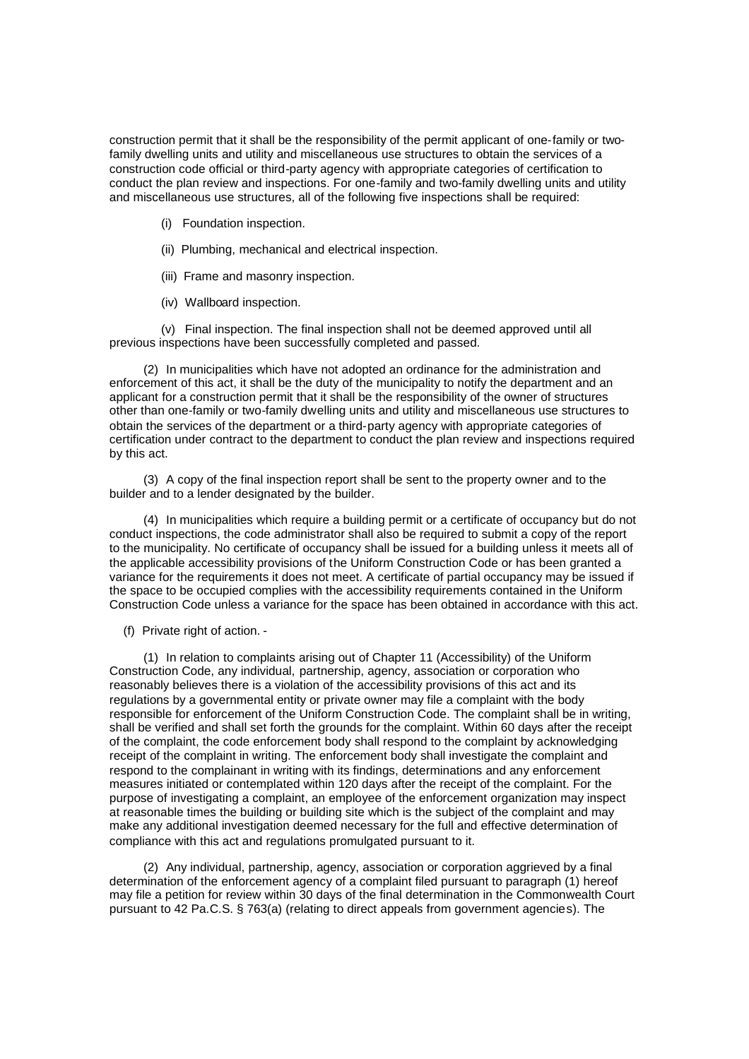construction permit that it shall be the responsibility of the permit applicant of one-family or twofamily dwelling units and utility and miscellaneous use structures to obtain the services of a construction code official or third-party agency with appropriate categories of certification to conduct the plan review and inspections. For one-family and two-family dwelling units and utility and miscellaneous use structures, all of the following five inspections shall be required:

- (i) Foundation inspection.
- (ii) Plumbing, mechanical and electrical inspection.
- (iii) Frame and masonry inspection.
- (iv) Wallboard inspection.

(v) Final inspection. The final inspection shall not be deemed approved until all previous inspections have been successfully completed and passed.

(2) In municipalities which have not adopted an ordinance for the administration and enforcement of this act, it shall be the duty of the municipality to notify the department and an applicant for a construction permit that it shall be the responsibility of the owner of structures other than one-family or two-family dwelling units and utility and miscellaneous use structures to obtain the services of the department or a third-party agency with appropriate categories of certification under contract to the department to conduct the plan review and inspections required by this act.

(3) A copy of the final inspection report shall be sent to the property owner and to the builder and to a lender designated by the builder.

(4) In municipalities which require a building permit or a certificate of occupancy but do not conduct inspections, the code administrator shall also be required to submit a copy of the report to the municipality. No certificate of occupancy shall be issued for a building unless it meets all of the applicable accessibility provisions of the Uniform Construction Code or has been granted a variance for the requirements it does not meet. A certificate of partial occupancy may be issued if the space to be occupied complies with the accessibility requirements contained in the Uniform Construction Code unless a variance for the space has been obtained in accordance with this act.

(f) Private right of action. -

(1) In relation to complaints arising out of Chapter 11 (Accessibility) of the Uniform Construction Code, any individual, partnership, agency, association or corporation who reasonably believes there is a violation of the accessibility provisions of this act and its regulations by a governmental entity or private owner may file a complaint with the body responsible for enforcement of the Uniform Construction Code. The complaint shall be in writing, shall be verified and shall set forth the grounds for the complaint. Within 60 days after the receipt of the complaint, the code enforcement body shall respond to the complaint by acknowledging receipt of the complaint in writing. The enforcement body shall investigate the complaint and respond to the complainant in writing with its findings, determinations and any enforcement measures initiated or contemplated within 120 days after the receipt of the complaint. For the purpose of investigating a complaint, an employee of the enforcement organization may inspect at reasonable times the building or building site which is the subject of the complaint and may make any additional investigation deemed necessary for the full and effective determination of compliance with this act and regulations promulgated pursuant to it.

(2) Any individual, partnership, agency, association or corporation aggrieved by a final determination of the enforcement agency of a complaint filed pursuant to paragraph (1) hereof may file a petition for review within 30 days of the final determination in the Commonwealth Court pursuant to 42 Pa.C.S. § 763(a) (relating to direct appeals from government agencies). The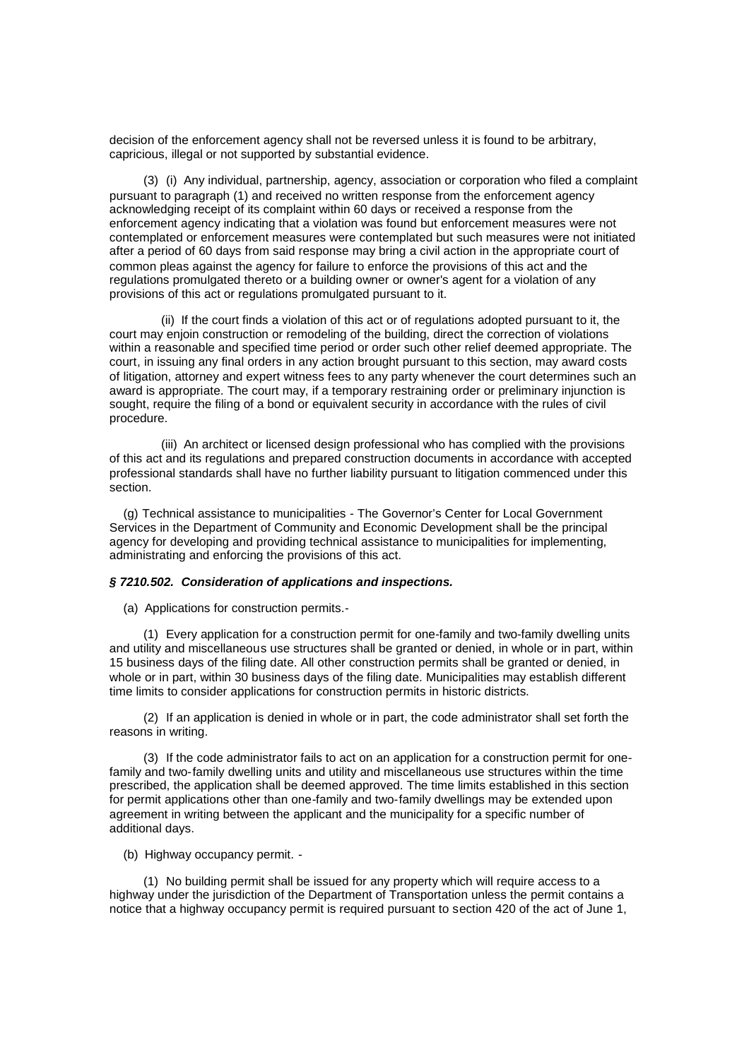decision of the enforcement agency shall not be reversed unless it is found to be arbitrary, capricious, illegal or not supported by substantial evidence.

(3) (i) Any individual, partnership, agency, association or corporation who filed a complaint pursuant to paragraph (1) and received no written response from the enforcement agency acknowledging receipt of its complaint within 60 days or received a response from the enforcement agency indicating that a violation was found but enforcement measures were not contemplated or enforcement measures were contemplated but such measures were not initiated after a period of 60 days from said response may bring a civil action in the appropriate court of common pleas against the agency for failure to enforce the provisions of this act and the regulations promulgated thereto or a building owner or owner's agent for a violation of any provisions of this act or regulations promulgated pursuant to it.

(ii) If the court finds a violation of this act or of regulations adopted pursuant to it, the court may enjoin construction or remodeling of the building, direct the correction of violations within a reasonable and specified time period or order such other relief deemed appropriate. The court, in issuing any final orders in any action brought pursuant to this section, may award costs of litigation, attorney and expert witness fees to any party whenever the court determines such an award is appropriate. The court may, if a temporary restraining order or preliminary injunction is sought, require the filing of a bond or equivalent security in accordance with the rules of civil procedure.

(iii) An architect or licensed design professional who has complied with the provisions of this act and its regulations and prepared construction documents in accordance with accepted professional standards shall have no further liability pursuant to litigation commenced under this section.

(g) Technical assistance to municipalities - The Governor's Center for Local Government Services in the Department of Community and Economic Development shall be the principal agency for developing and providing technical assistance to municipalities for implementing, administrating and enforcing the provisions of this act.

#### *§ 7210.502. Consideration of applications and inspections.*

(a) Applications for construction permits.-

(1) Every application for a construction permit for one-family and two-family dwelling units and utility and miscellaneous use structures shall be granted or denied, in whole or in part, within 15 business days of the filing date. All other construction permits shall be granted or denied, in whole or in part, within 30 business days of the filing date. Municipalities may establish different time limits to consider applications for construction permits in historic districts.

(2) If an application is denied in whole or in part, the code administrator shall set forth the reasons in writing.

(3) If the code administrator fails to act on an application for a construction permit for onefamily and two-family dwelling units and utility and miscellaneous use structures within the time prescribed, the application shall be deemed approved. The time limits established in this section for permit applications other than one-family and two-family dwellings may be extended upon agreement in writing between the applicant and the municipality for a specific number of additional days.

(b) Highway occupancy permit. -

(1) No building permit shall be issued for any property which will require access to a highway under the jurisdiction of the Department of Transportation unless the permit contains a notice that a highway occupancy permit is required pursuant to section 420 of the act of June 1,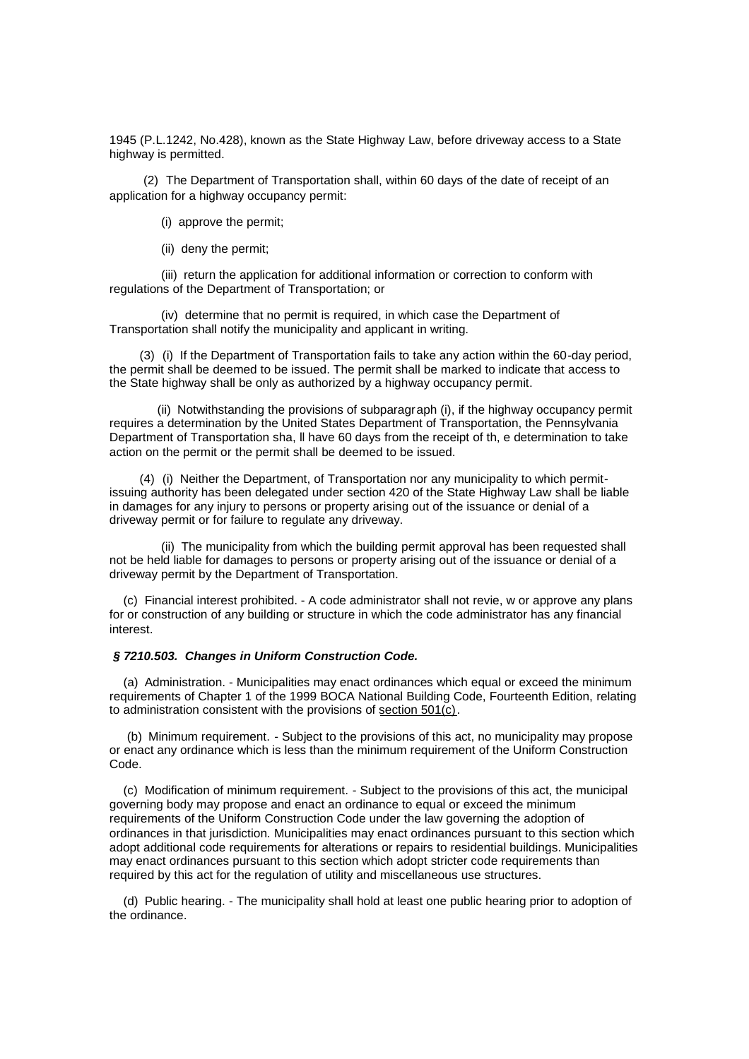1945 (P.L.1242, No.428), known as the State Highway Law, before driveway access to a State highway is permitted.

(2) The Department of Transportation shall, within 60 days of the date of receipt of an application for a highway occupancy permit:

(i) approve the permit;

(ii) deny the permit;

(iii) return the application for additional information or correction to conform with regulations of the Department of Transportation; or

(iv) determine that no permit is required, in which case the Department of Transportation shall notify the municipality and applicant in writing.

(3) (i) If the Department of Transportation fails to take any action within the 60-day period, the permit shall be deemed to be issued. The permit shall be marked to indicate that access to the State highway shall be only as authorized by a highway occupancy permit.

(ii) Notwithstanding the provisions of subparagraph (i), if the highway occupancy permit requires a determination by the United States Department of Transportation, the Pennsylvania Department of Transportation sha, ll have 60 days from the receipt of th, e determination to take action on the permit or the permit shall be deemed to be issued.

(4) (i) Neither the Department, of Transportation nor any municipality to which permitissuing authority has been delegated under section 420 of the State Highway Law shall be liable in damages for any injury to persons or property arising out of the issuance or denial of a driveway permit or for failure to regulate any driveway.

(ii) The municipality from which the building permit approval has been requested shall not be held liable for damages to persons or property arising out of the issuance or denial of a driveway permit by the Department of Transportation.

(c) Financial interest prohibited. - A code administrator shall not revie, w or approve any plans for or construction of any building or structure in which the code administrator has any financial interest.

# *§ 7210.503. Changes in Uniform Construction Code.*

(a) Administration. - Municipalities may enact ordinances which equal or exceed the minimum requirements of Chapter 1 of the 1999 BOCA National Building Code, Fourteenth Edition, relating to administration consistent with the provisions of section 501(c).

(b) Minimum requirement. - Subject to the provisions of this act, no municipality may propose or enact any ordinance which is less than the minimum requirement of the Uniform Construction Code.

(c) Modification of minimum requirement. - Subject to the provisions of this act, the municipal governing body may propose and enact an ordinance to equal or exceed the minimum requirements of the Uniform Construction Code under the law governing the adoption of ordinances in that jurisdiction. Municipalities may enact ordinances pursuant to this section which adopt additional code requirements for alterations or repairs to residential buildings. Municipalities may enact ordinances pursuant to this section which adopt stricter code requirements than required by this act for the regulation of utility and miscellaneous use structures.

(d) Public hearing. - The municipality shall hold at least one public hearing prior to adoption of the ordinance.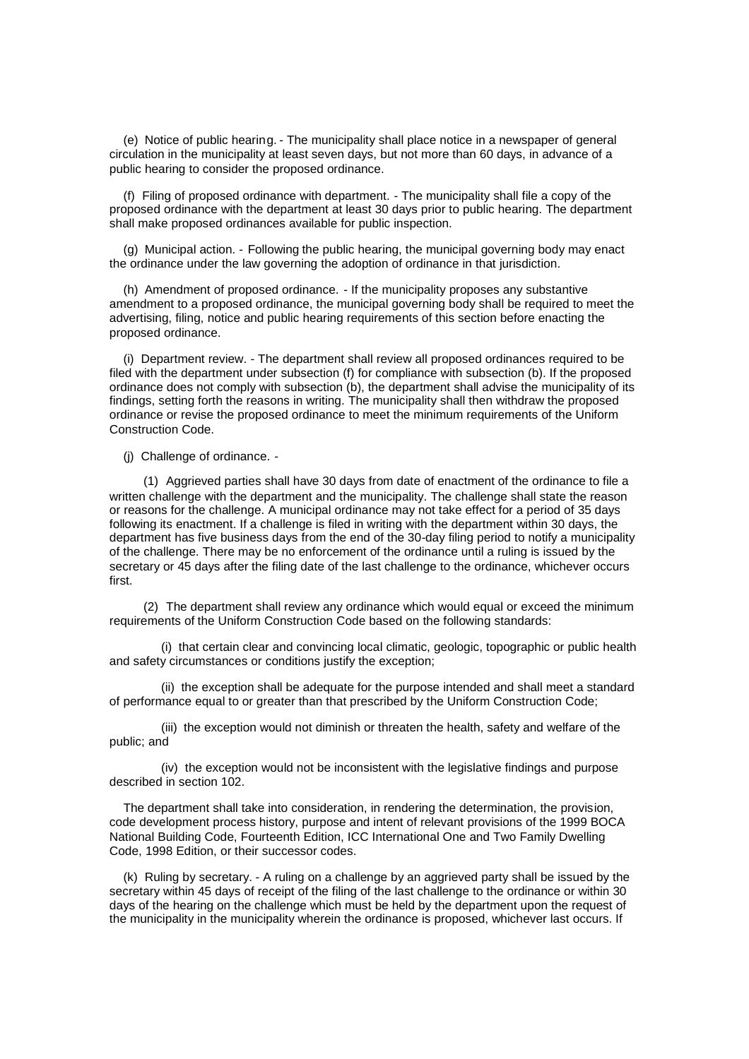(e) Notice of public hearing. - The municipality shall place notice in a newspaper of general circulation in the municipality at least seven days, but not more than 60 days, in advance of a public hearing to consider the proposed ordinance.

(f) Filing of proposed ordinance with department. - The municipality shall file a copy of the proposed ordinance with the department at least 30 days prior to public hearing. The department shall make proposed ordinances available for public inspection.

(g) Municipal action. - Following the public hearing, the municipal governing body may enact the ordinance under the law governing the adoption of ordinance in that jurisdiction.

(h) Amendment of proposed ordinance. - If the municipality proposes any substantive amendment to a proposed ordinance, the municipal governing body shall be required to meet the advertising, filing, notice and public hearing requirements of this section before enacting the proposed ordinance.

(i) Department review. - The department shall review all proposed ordinances required to be filed with the department under subsection (f) for compliance with subsection (b). If the proposed ordinance does not comply with subsection (b), the department shall advise the municipality of its findings, setting forth the reasons in writing. The municipality shall then withdraw the proposed ordinance or revise the proposed ordinance to meet the minimum requirements of the Uniform Construction Code.

(j) Challenge of ordinance. -

(1) Aggrieved parties shall have 30 days from date of enactment of the ordinance to file a written challenge with the department and the municipality. The challenge shall state the reason or reasons for the challenge. A municipal ordinance may not take effect for a period of 35 days following its enactment. If a challenge is filed in writing with the department within 30 days, the department has five business days from the end of the 30-day filing period to notify a municipality of the challenge. There may be no enforcement of the ordinance until a ruling is issued by the secretary or 45 days after the filing date of the last challenge to the ordinance, whichever occurs first.

(2) The department shall review any ordinance which would equal or exceed the minimum requirements of the Uniform Construction Code based on the following standards:

(i) that certain clear and convincing local climatic, geologic, topographic or public health and safety circumstances or conditions justify the exception;

(ii) the exception shall be adequate for the purpose intended and shall meet a standard of performance equal to or greater than that prescribed by the Uniform Construction Code;

(iii) the exception would not diminish or threaten the health, safety and welfare of the public; and

(iv) the exception would not be inconsistent with the legislative findings and purpose described in section 102.

The department shall take into consideration, in rendering the determination, the provision, code development process history, purpose and intent of relevant provisions of the 1999 BOCA National Building Code, Fourteenth Edition, ICC International One and Two Family Dwelling Code, 1998 Edition, or their successor codes.

(k) Ruling by secretary. - A ruling on a challenge by an aggrieved party shall be issued by the secretary within 45 days of receipt of the filing of the last challenge to the ordinance or within 30 days of the hearing on the challenge which must be held by the department upon the request of the municipality in the municipality wherein the ordinance is proposed, whichever last occurs. If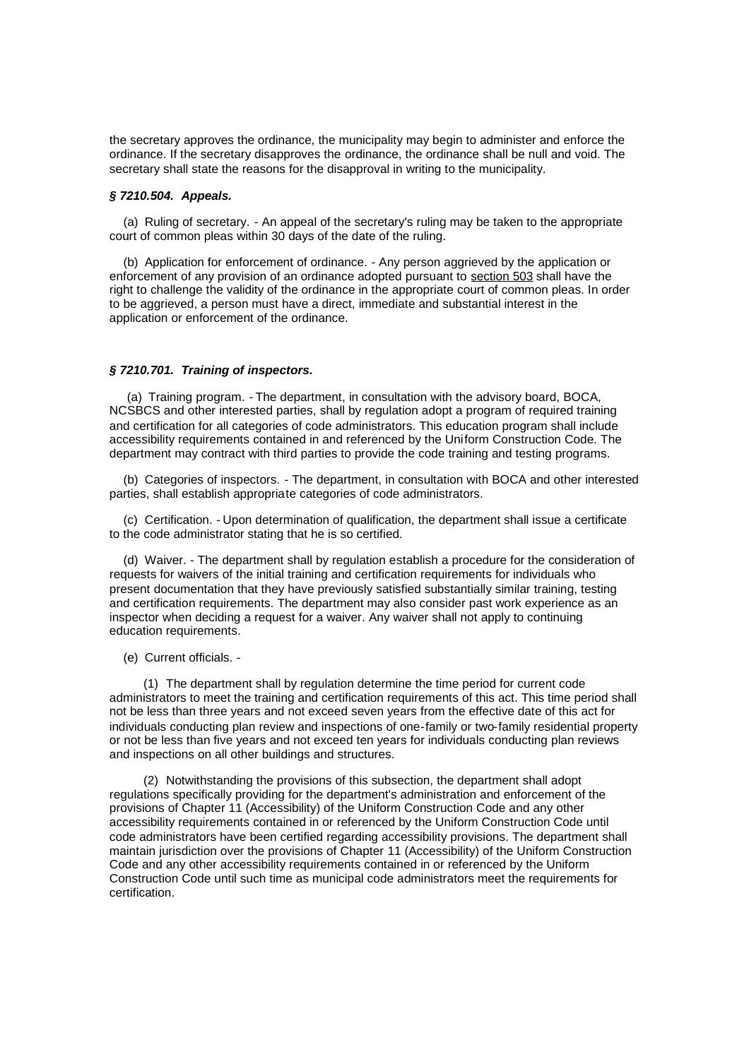the secretary approves the ordinance, the municipality may begin to administer and enforce the ordinance. If the secretary disapproves the ordinance, the ordinance shall be null and void. The secretary shall state the reasons for the disapproval in writing to the municipality.

#### *§ 7210.504. Appeals.*

(a) Ruling of secretary. - An appeal of the secretary's ruling may be taken to the appropriate court of common pleas within 30 days of the date of the ruling.

(b) Application for enforcement of ordinance. - Any person aggrieved by the application or enforcement of any provision of an ordinance adopted pursuant to section 503 shall have the right to challenge the validity of the ordinance in the appropriate court of common pleas. In order to be aggrieved, a person must have a direct, immediate and substantial interest in the application or enforcement of the ordinance.

## *§ 7210.701. Training of inspectors.*

(a) Training program. - The department, in consultation with the advisory board, BOCA, NCSBCS and other interested parties, shall by regulation adopt a program of required training and certification for all categories of code administrators. This education program shall include accessibility requirements contained in and referenced by the Uniform Construction Code. The department may contract with third parties to provide the code training and testing programs.

(b) Categories of inspectors. - The department, in consultation with BOCA and other interested parties, shall establish appropriate categories of code administrators.

(c) Certification. - Upon determination of qualification, the department shall issue a certificate to the code administrator stating that he is so certified.

(d) Waiver. - The department shall by regulation establish a procedure for the consideration of requests for waivers of the initial training and certification requirements for individuals who present documentation that they have previously satisfied substantially similar training, testing and certification requirements. The department may also consider past work experience as an inspector when deciding a request for a waiver. Any waiver shall not apply to continuing education requirements.

## (e) Current officials. -

(1) The department shall by regulation determine the time period for current code administrators to meet the training and certification requirements of this act. This time period shall not be less than three years and not exceed seven years from the effective date of this act for individuals conducting plan review and inspections of one-family or two-family residential property or not be less than five years and not exceed ten years for individuals conducting plan reviews and inspections on all other buildings and structures.

(2) Notwithstanding the provisions of this subsection, the department shall adopt regulations specifically providing for the department's administration and enforcement of the provisions of Chapter 11 (Accessibility) of the Uniform Construction Code and any other accessibility requirements contained in or referenced by the Uniform Construction Code until code administrators have been certified regarding accessibility provisions. The department shall maintain jurisdiction over the provisions of Chapter 11 (Accessibility) of the Uniform Construction Code and any other accessibility requirements contained in or referenced by the Uniform Construction Code until such time as municipal code administrators meet the requirements for certification.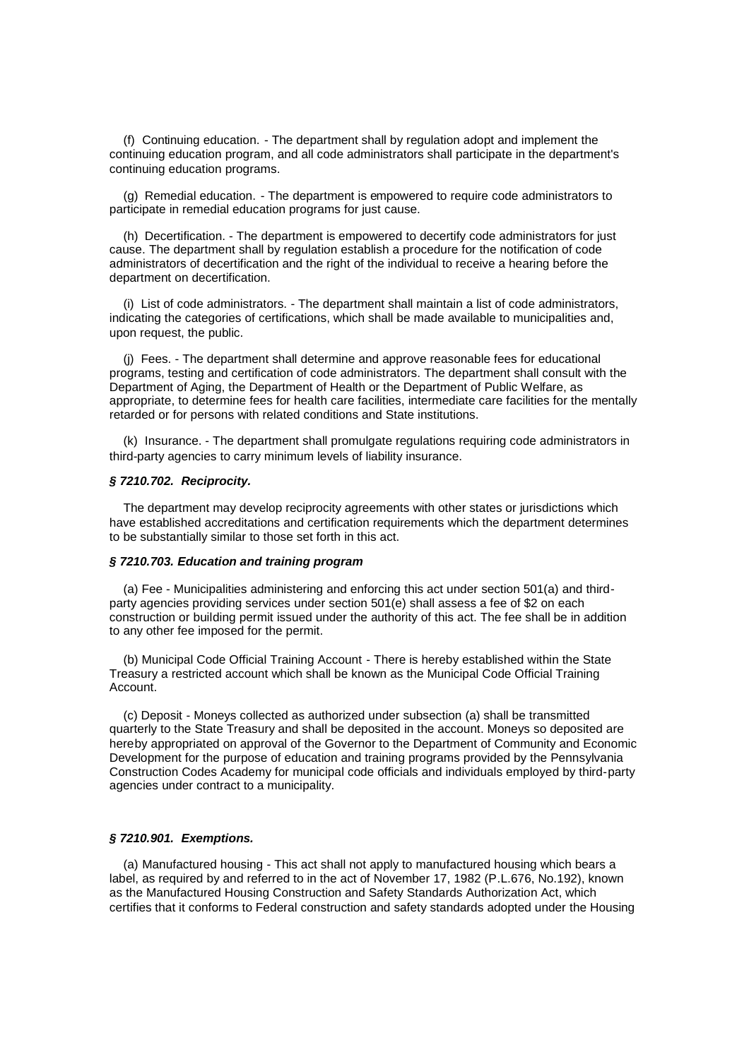(f) Continuing education. - The department shall by regulation adopt and implement the continuing education program, and all code administrators shall participate in the department's continuing education programs.

(g) Remedial education. - The department is empowered to require code administrators to participate in remedial education programs for just cause.

(h) Decertification. - The department is empowered to decertify code administrators for just cause. The department shall by regulation establish a procedure for the notification of code administrators of decertification and the right of the individual to receive a hearing before the department on decertification.

(i) List of code administrators. - The department shall maintain a list of code administrators, indicating the categories of certifications, which shall be made available to municipalities and, upon request, the public.

(j) Fees. - The department shall determine and approve reasonable fees for educational programs, testing and certification of code administrators. The department shall consult with the Department of Aging, the Department of Health or the Department of Public Welfare, as appropriate, to determine fees for health care facilities, intermediate care facilities for the mentally retarded or for persons with related conditions and State institutions.

(k) Insurance. - The department shall promulgate regulations requiring code administrators in third-party agencies to carry minimum levels of liability insurance.

## *§ 7210.702. Reciprocity.*

The department may develop reciprocity agreements with other states or jurisdictions which have established accreditations and certification requirements which the department determines to be substantially similar to those set forth in this act.

## *§ 7210.703. Education and training program*

(a) Fee - Municipalities administering and enforcing this act under section 501(a) and thirdparty agencies providing services under section 501(e) shall assess a fee of \$2 on each construction or building permit issued under the authority of this act. The fee shall be in addition to any other fee imposed for the permit.

(b) Municipal Code Official Training Account - There is hereby established within the State Treasury a restricted account which shall be known as the Municipal Code Official Training Account.

(c) Deposit - Moneys collected as authorized under subsection (a) shall be transmitted quarterly to the State Treasury and shall be deposited in the account. Moneys so deposited are hereby appropriated on approval of the Governor to the Department of Community and Economic Development for the purpose of education and training programs provided by the Pennsylvania Construction Codes Academy for municipal code officials and individuals employed by third-party agencies under contract to a municipality.

## *§ 7210.901. Exemptions.*

(a) Manufactured housing - This act shall not apply to manufactured housing which bears a label, as required by and referred to in the act of November 17, 1982 (P.L.676, No.192), known as the Manufactured Housing Construction and Safety Standards Authorization Act, which certifies that it conforms to Federal construction and safety standards adopted under the Housing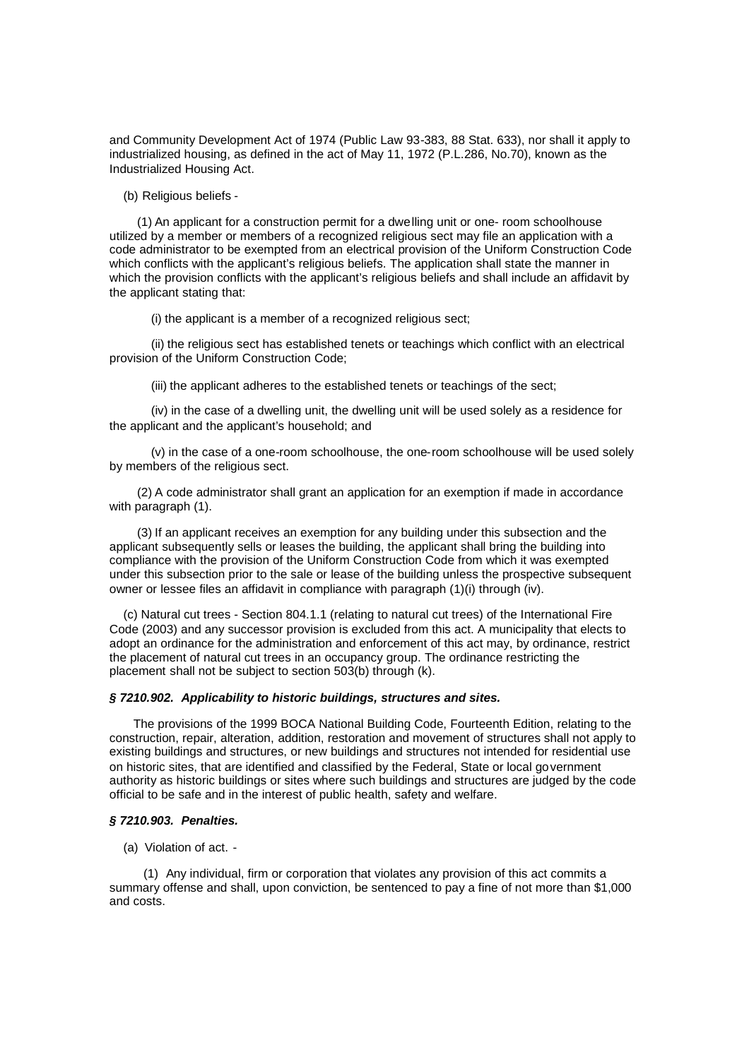and Community Development Act of 1974 (Public Law 93-383, 88 Stat. 633), nor shall it apply to industrialized housing, as defined in the act of May 11, 1972 (P.L.286, No.70), known as the Industrialized Housing Act.

(b) Religious beliefs -

(1) An applicant for a construction permit for a dwelling unit or one- room schoolhouse utilized by a member or members of a recognized religious sect may file an application with a code administrator to be exempted from an electrical provision of the Uniform Construction Code which conflicts with the applicant's religious beliefs. The application shall state the manner in which the provision conflicts with the applicant's religious beliefs and shall include an affidavit by the applicant stating that:

(i) the applicant is a member of a recognized religious sect;

(ii) the religious sect has established tenets or teachings which conflict with an electrical provision of the Uniform Construction Code;

(iii) the applicant adheres to the established tenets or teachings of the sect;

(iv) in the case of a dwelling unit, the dwelling unit will be used solely as a residence for the applicant and the applicant's household; and

(v) in the case of a one-room schoolhouse, the one-room schoolhouse will be used solely by members of the religious sect.

(2) A code administrator shall grant an application for an exemption if made in accordance with paragraph (1).

(3) If an applicant receives an exemption for any building under this subsection and the applicant subsequently sells or leases the building, the applicant shall bring the building into compliance with the provision of the Uniform Construction Code from which it was exempted under this subsection prior to the sale or lease of the building unless the prospective subsequent owner or lessee files an affidavit in compliance with paragraph (1)(i) through (iv).

(c) Natural cut trees - Section 804.1.1 (relating to natural cut trees) of the International Fire Code (2003) and any successor provision is excluded from this act. A municipality that elects to adopt an ordinance for the administration and enforcement of this act may, by ordinance, restrict the placement of natural cut trees in an occupancy group. The ordinance restricting the placement shall not be subject to section 503(b) through (k).

## *§ 7210.902. Applicability to historic buildings, structures and sites.*

The provisions of the 1999 BOCA National Building Code, Fourteenth Edition, relating to the construction, repair, alteration, addition, restoration and movement of structures shall not apply to existing buildings and structures, or new buildings and structures not intended for residential use on historic sites, that are identified and classified by the Federal, State or local government authority as historic buildings or sites where such buildings and structures are judged by the code official to be safe and in the interest of public health, safety and welfare.

#### *§ 7210.903. Penalties.*

(a) Violation of act. -

(1) Any individual, firm or corporation that violates any provision of this act commits a summary offense and shall, upon conviction, be sentenced to pay a fine of not more than \$1,000 and costs.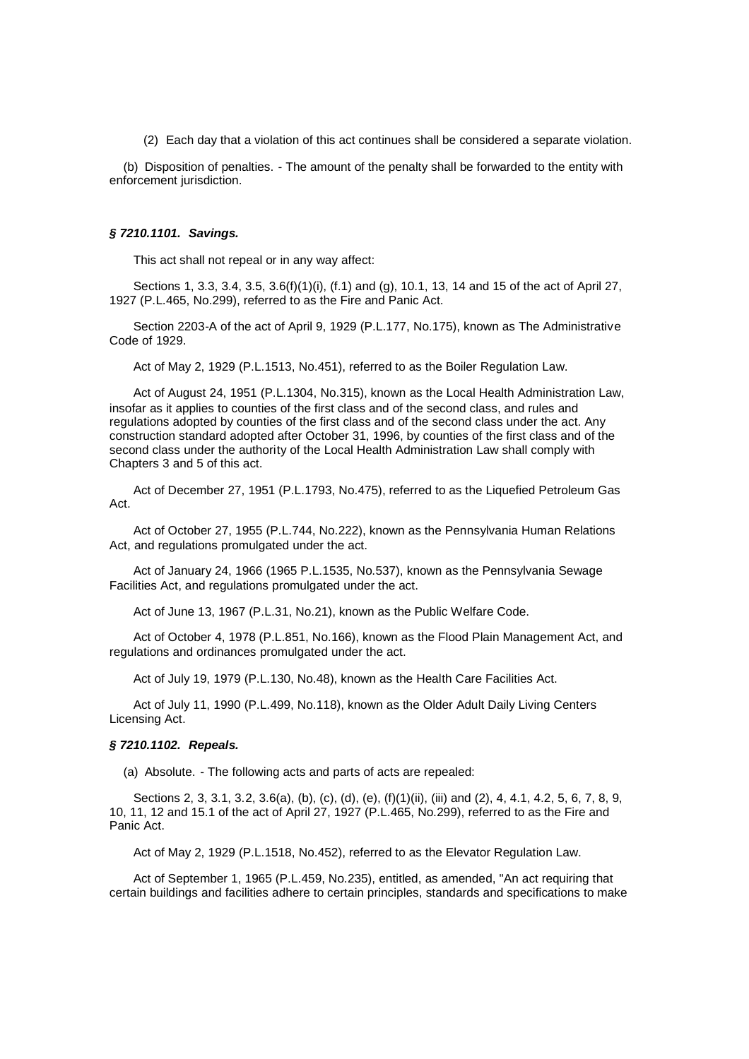(2) Each day that a violation of this act continues shall be considered a separate violation.

(b) Disposition of penalties. - The amount of the penalty shall be forwarded to the entity with enforcement jurisdiction.

#### *§ 7210.1101. Savings.*

This act shall not repeal or in any way affect:

Sections 1, 3.3, 3.4, 3.5, 3.6(f)(1)(i), (f.1) and (g), 10.1, 13, 14 and 15 of the act of April 27, 1927 (P.L.465, No.299), referred to as the Fire and Panic Act.

Section 2203-A of the act of April 9, 1929 (P.L.177, No.175), known as The Administrative Code of 1929.

Act of May 2, 1929 (P.L.1513, No.451), referred to as the Boiler Regulation Law.

Act of August 24, 1951 (P.L.1304, No.315), known as the Local Health Administration Law, insofar as it applies to counties of the first class and of the second class, and rules and regulations adopted by counties of the first class and of the second class under the act. Any construction standard adopted after October 31, 1996, by counties of the first class and of the second class under the authority of the Local Health Administration Law shall comply with Chapters 3 and 5 of this act.

Act of December 27, 1951 (P.L.1793, No.475), referred to as the Liquefied Petroleum Gas Act.

Act of October 27, 1955 (P.L.744, No.222), known as the Pennsylvania Human Relations Act, and regulations promulgated under the act.

Act of January 24, 1966 (1965 P.L.1535, No.537), known as the Pennsylvania Sewage Facilities Act, and regulations promulgated under the act.

Act of June 13, 1967 (P.L.31, No.21), known as the Public Welfare Code.

Act of October 4, 1978 (P.L.851, No.166), known as the Flood Plain Management Act, and regulations and ordinances promulgated under the act.

Act of July 19, 1979 (P.L.130, No.48), known as the Health Care Facilities Act.

Act of July 11, 1990 (P.L.499, No.118), known as the Older Adult Daily Living Centers Licensing Act.

## *§ 7210.1102. Repeals.*

(a) Absolute. - The following acts and parts of acts are repealed:

Sections 2, 3, 3.1, 3.2, 3.6(a), (b), (c), (d), (e), (f)(1)(ii), (iii) and (2), 4, 4.1, 4.2, 5, 6, 7, 8, 9, 10, 11, 12 and 15.1 of the act of April 27, 1927 (P.L.465, No.299), referred to as the Fire and Panic Act.

Act of May 2, 1929 (P.L.1518, No.452), referred to as the Elevator Regulation Law.

Act of September 1, 1965 (P.L.459, No.235), entitled, as amended, "An act requiring that certain buildings and facilities adhere to certain principles, standards and specifications to make